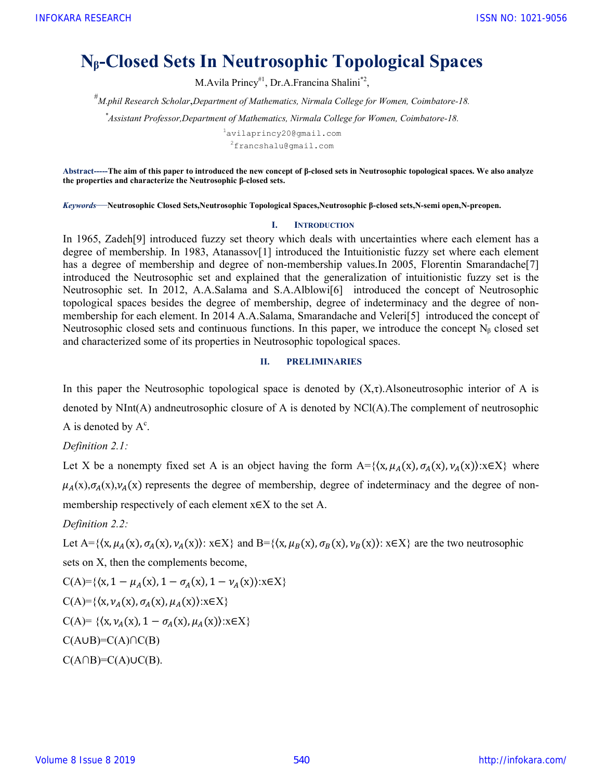# N<sub>β</sub>-Closed Sets In Neutrosophic Topological Spaces

M.Avila Princy<sup>#1</sup>, Dr.A.Francina Shalini<sup>\*2</sup>,

 $^{\#}$ M.phil Research Scholar,Department of Mathematics, Nirmala College for Women, Coimbatore-18.

\*Assistant Professor,Department of Mathematics, Nirmala College for Women, Coimbatore-18.

<sup>1</sup>avilaprincy20@gmail.com <sup>2</sup>francshalu@gmail.com

Abstract-----The aim of this paper to introduced the new concept of β-closed sets in Neutrosophic topological spaces. We also analyze the properties and characterize the Neutrosophic β-closed sets.

Keywords—Neutrosophic Closed Sets,Neutrosophic Topological Spaces,Neutrosophic β-closed sets,N-semi open,N-preopen.

### I. INTRODUCTION

In 1965, Zadeh[9] introduced fuzzy set theory which deals with uncertainties where each element has a degree of membership. In 1983, Atanassov[1] introduced the Intuitionistic fuzzy set where each element has a degree of membership and degree of non-membership values. In 2005, Florentin Smarandache<sup>[7]</sup> introduced the Neutrosophic set and explained that the generalization of intuitionistic fuzzy set is the Neutrosophic set. In 2012, A.A.Salama and S.A.Alblowi[6] introduced the concept of Neutrosophic topological spaces besides the degree of membership, degree of indeterminacy and the degree of nonmembership for each element. In 2014 A.A.Salama, Smarandache and Veleri[5] introduced the concept of Neutrosophic closed sets and continuous functions. In this paper, we introduce the concept  $N_\beta$  closed set and characterized some of its properties in Neutrosophic topological spaces.

### II. PRELIMINARIES

In this paper the Neutrosophic topological space is denoted by  $(X,\tau)$ . Alsoneutrosophic interior of A is denoted by NInt(A) andneutrosophic closure of A is denoted by NCl(A).The complement of neutrosophic A is denoted by  $A^c$ .

Definition 2.1:

Let X be a nonempty fixed set A is an object having the form  $A = \{(x, \mu_A(x), \sigma_A(x), \nu_A(x)) : x \in X\}$  where  $\mu_A(x),\sigma_A(x),\nu_A(x)$  represents the degree of membership, degree of indeterminacy and the degree of nonmembership respectively of each element  $x \in X$  to the set A.

Definition 2.2:

Let A= $\{\langle x,\mu_A(x),\sigma_A(x),\nu_A(x)\rangle\colon x\in X\}$  and B= $\{\langle x,\mu_B(x),\sigma_B(x),\nu_B(x)\rangle\colon x\in X\}$  are the two neutrosophic

sets on X, then the complements become,

C(A)= {
$$
(x, 1 - \mu_A(x), 1 - \sigma_A(x), 1 - \nu_A(x)
$$
): $x \in X$ }  
\nC(A)= { $(x, \nu_A(x), \sigma_A(x), \mu_A(x)$ ): $x \in X$ }  
\nC(A)= { $(x, \nu_A(x), 1 - \sigma_A(x), \mu_A(x))$ : $x \in X$ }  
\nC(AUB)=C(A) \cap C(B)  
\nC(A \cap B)=C(A) \cup C(B).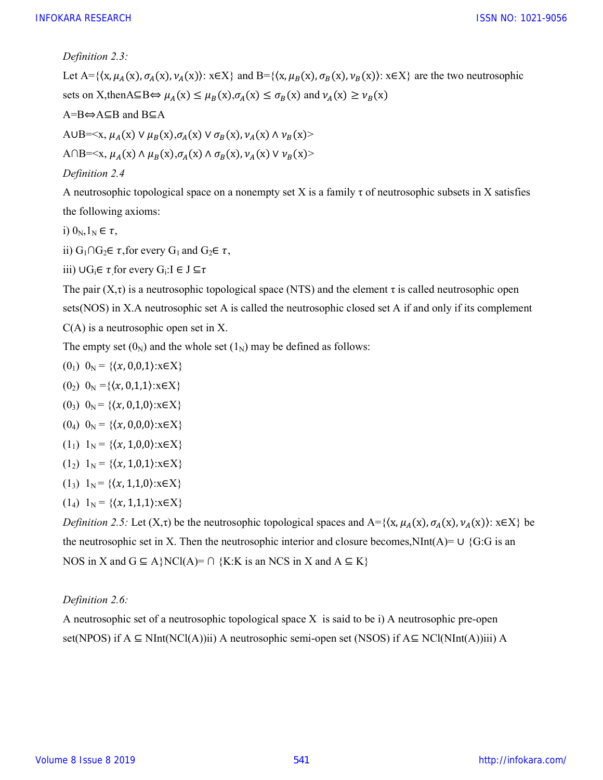Definition 2.3:

Let A={ $\{x, \mu_A(x), \sigma_A(x), \nu_A(x)\}$ : x∈X} and B={ $\{x, \mu_B(x), \sigma_B(x), \nu_B(x)\}$ : x∈X} are the two neutrosophic sets on X,thenA⊆B⇔  $\mu_A(x) \leq \mu_B(x), \sigma_A(x) \leq \sigma_B(x)$  and  $\nu_A(x) \geq \nu_B(x)$ A=B⇔A⊆B and B⊆A A∪B= $\langle x, \mu_A(x) \vee \mu_B(x), \sigma_A(x) \vee \sigma_B(x), \nu_A(x) \wedge \nu_B(x) \rangle$ A∩B= $\langle x, \mu_A(x) \wedge \mu_B(x), \sigma_A(x) \wedge \sigma_B(x), \nu_A(x) \vee \nu_B(x) \rangle$ Definition 2.4

A neutrosophic topological space on a nonempty set X is a family  $\tau$  of neutrosophic subsets in X satisfies the following axioms:

i)  $0_N, 1_N \in \tau$ ,

ii) G<sub>1</sub>∩G<sub>2</sub>∈  $\tau$ , for every G<sub>1</sub> and G<sub>2</sub>∈  $\tau$ ,

iii) ∪G<sub>i</sub> $\in \tau$  for every G<sub>i</sub>:I  $\in J \subseteq \tau$ 

The pair  $(X,\tau)$  is a neutrosophic topological space (NTS) and the element  $\tau$  is called neutrosophic open sets(NOS) in X.A neutrosophic set A is called the neutrosophic closed set A if and only if its complement C(A) is a neutrosophic open set in X.

The empty set  $(0_N)$  and the whole set  $(1_N)$  may be defined as follows:

$$
(0_1) 0_N = \{\langle x, 0, 0, 1\rangle : x \in X\}
$$

- (0<sub>2</sub>)  $0_N = \{(x, 0, 1, 1): x \in X\}$
- (0<sub>3</sub>)  $0_N = \{(x, 0, 1, 0): x \in X\}$

$$
(0_4) 0_N = \{\langle x, 0, 0, 0 \rangle : x \in X\}
$$

 $(1_1)$  1<sub>N</sub> = { $(x, 1, 0, 0)$ :  $x \in X$ }

$$
(1_2) 1_N = \{ (x, 1, 0, 1) : x \in X \}
$$

- $(1_3)$  1<sub>N</sub> = { $\{(x, 1,1,0):x\in X\}$
- $(1_4)$  1<sub>N</sub> = { $(x, 1,1,1)$ :x∈X}

Definition 2.5: Let  $(X,\tau)$  be the neutrosophic topological spaces and  $A = \{(x, \mu_A(x), \sigma_A(x), \nu_A(x)) : x \in X\}$  be the neutrosophic set in X. Then the neutrosophic interior and closure becomes, NInt(A)= ∪ {G:G is an NOS in X and  $G \subseteq A$ }NCl(A)=  $\cap$  {K:K is an NCS in X and  $A \subseteq K$ }

Definition 2.6:

A neutrosophic set of a neutrosophic topological space X is said to be i) A neutrosophic pre-open set(NPOS) if A ⊆ NInt(NCl(A))ii) A neutrosophic semi-open set (NSOS) if A⊆ NCl(NInt(A))iii) A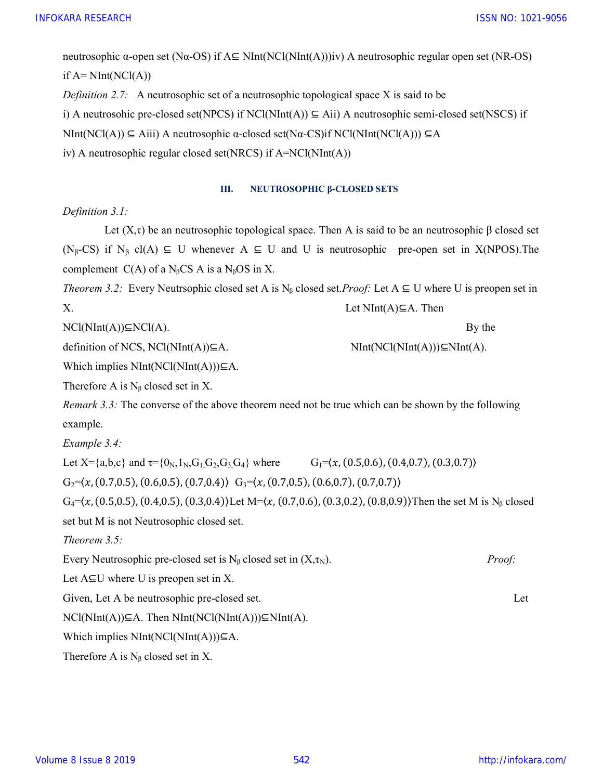ISSN NO: 1021-9056

neutrosophic α-open set (Nα-OS) if  $A \subseteq NInt(NCl(NInt(A)))$ iv) A neutrosophic regular open set (NR-OS) if  $A=$  NInt(NCl(A)) *Definition 2.7:* A neutrosophic set of a neutrosophic topological space X is said to be i) A neutrosohic pre-closed set(NPCS) if NCl(NInt(A))  $\subseteq$  Aii) A neutrosophic semi-closed set(NSCS) if NInt(NCl(A)) ⊆ Aiii) A neutrosophic α-closed set(Nα-CS)if NCl(NInt(NCl(A))) ⊆A iv) A neutrosophic regular closed set(NRCS) if A=NCl(NInt(A))

### III. NEUTROSOPHIC β-CLOSED SETS

## Definition 3.1:

Let  $(X, \tau)$  be an neutrosophic topological space. Then A is said to be an neutrosophic  $\beta$  closed set (N<sub>β</sub>-CS) if N<sub>β</sub> cl(A)  $\subseteq$  U whenever A  $\subseteq$  U and U is neutrosophic pre-open set in X(NPOS). The complement  $C(A)$  of a N<sub>β</sub>CS A is a N<sub>β</sub>OS in X.

Theorem 3.2: Every Neutrsophic closed set A is N<sub>β</sub> closed set.*Proof*: Let  $A \subseteq U$  where U is preopen set in X. Let NInt(A)⊆A. Then

 $NCl(NInt(A))\subseteq NC(A)$ . By the

definition of NCS, NCl(NInt(A))⊆A.  $\text{NInt}(\text{NCI}(\text{NInt}(A)))\subseteq \text{NInt}(\text{ACI}(\text{NInt}(A)))\subseteq \text{NInt}(\text{ACI}(\text{NInt}(A)))$ 

Which implies  $NInt(NCl(NInt(A)))\subseteq A$ .

Therefore A is  $N<sub>ß</sub>$  closed set in X.

Remark 3.3: The converse of the above theorem need not be true which can be shown by the following example.

Example 3.4:

Let  $X = \{a,b,c\}$  and  $\tau = \{0_N,1_N,G_1,G_2,G_3,G_4\}$  where  $G_1 = \langle x,(0.5,0.6),(0.4,0.7),(0.3,0.7)\rangle$ 

 $G_2=\langle x, (0.7,0.5), (0.6,0.5), (0.7,0.4), (0.7,0.7), (0.7,0.7), (0.7,0.7)\rangle$ 

 $G_4 = (x, (0.5, 0.5), (0.4, 0.5), (0.3, 0.4))$  Let M= $(x, (0.7, 0.6), (0.3, 0.2), (0.8, 0.9))$  Then the set M is N<sub>β</sub> closed set but M is not Neutrosophic closed set.

Theorem 3.5:

Every Neutrosophic pre-closed set is  $N_\beta$  closed set in  $(X,\tau_N)$ . *Proof:* 

Let  $A \subseteq U$  where U is preopen set in X.

Given, Let A be neutrosophic pre-closed set. Let

 $NCl(NInt(A))\subseteq A$ . Then  $NInt(NCl(NInt(A)))\subseteq NInt(A)$ .

Which implies  $NInt(NCl(NInt(A)))\subseteq A$ .

Therefore A is  $N_\beta$  closed set in X.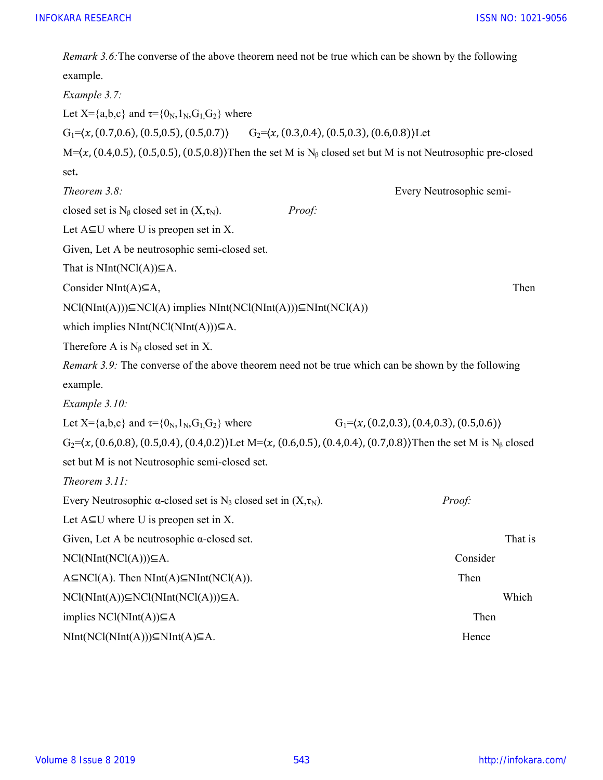ISSN NO: 1021-9056

| Remark 3.6: The converse of the above theorem need not be true which can be shown by the following                                        |                                                 |  |  |  |
|-------------------------------------------------------------------------------------------------------------------------------------------|-------------------------------------------------|--|--|--|
| example.                                                                                                                                  |                                                 |  |  |  |
| Example 3.7:                                                                                                                              |                                                 |  |  |  |
| Let X={a,b,c} and $\tau = \{0_N, 1_N, G_1, G_2\}$ where                                                                                   |                                                 |  |  |  |
| $G_1 = (x, (0.7, 0.6), (0.5, 0.5), (0.5, 0.7))$ $G_2 = (x, (0.3, 0.4), (0.5, 0.3), (0.6, 0.8))$ Let                                       |                                                 |  |  |  |
| $M=\langle x, (0.4, 0.5), (0.5, 0.5), (0.5, 0.8)\rangle$ Then the set M is N <sub>B</sub> closed set but M is not Neutrosophic pre-closed |                                                 |  |  |  |
| set.                                                                                                                                      |                                                 |  |  |  |
| Theorem 3.8:                                                                                                                              | Every Neutrosophic semi-                        |  |  |  |
| closed set is $N_\beta$ closed set in $(X,\tau_N)$ .<br>Proof:                                                                            |                                                 |  |  |  |
| Let $A \subseteq U$ where U is preopen set in X.                                                                                          |                                                 |  |  |  |
| Given, Let A be neutrosophic semi-closed set.                                                                                             |                                                 |  |  |  |
| That is $NInt(NCl(A))\subseteq A$ .                                                                                                       |                                                 |  |  |  |
| Consider NInt(A) $\subseteq$ A,                                                                                                           | Then                                            |  |  |  |
| $NCl(NInt(A)))\subseteq NCl(A)$ implies $NInt(NCl(NInt(A)))\subseteq NInt(NCl(A))$                                                        |                                                 |  |  |  |
| which implies $NInt(NCl(NInt(A)))\subseteq A$ .                                                                                           |                                                 |  |  |  |
| Therefore A is $N_\beta$ closed set in X.                                                                                                 |                                                 |  |  |  |
| Remark 3.9: The converse of the above theorem need not be true which can be shown by the following                                        |                                                 |  |  |  |
| example.                                                                                                                                  |                                                 |  |  |  |
| Example $3.10$ :                                                                                                                          |                                                 |  |  |  |
| Let X={a,b,c} and $\tau = \{0_N, 1_N, G_1, G_2\}$ where                                                                                   | $G_1 = (x, (0.2, 0.3), (0.4, 0.3), (0.5, 0.6))$ |  |  |  |
| $G_2 = (x, (0.6, 0.8), (0.5, 0.4), (0.4, 0.2))$ Let M= $(x, (0.6, 0.5), (0.4, 0.4), (0.7, 0.8))$ Then the set M is N <sub>β</sub> closed  |                                                 |  |  |  |
| set but M is not Neutrosophic semi-closed set.                                                                                            |                                                 |  |  |  |
| Theorem $3.11$ :                                                                                                                          |                                                 |  |  |  |
| Every Neutrosophic $\alpha$ -closed set is N <sub>B</sub> closed set in $(X,\tau_N)$ .                                                    | Proof:                                          |  |  |  |
| Let $A \subseteq U$ where U is preopen set in X.                                                                                          |                                                 |  |  |  |
| Given, Let A be neutrosophic $\alpha$ -closed set.                                                                                        | That is                                         |  |  |  |
| $NCl(NInt(NCl(A)))\subseteq A.$                                                                                                           | Consider                                        |  |  |  |
| $A\subseteq NCI(A)$ . Then $NInt(A)\subseteq NInt(NCl(A))$ .                                                                              | Then                                            |  |  |  |
| $NCl(NInt(A))\subseteq NCl(NInt(NCl(A)))\subseteq A.$                                                                                     | Which                                           |  |  |  |
| implies $NCl(NInt(A))\subseteq A$                                                                                                         | Then                                            |  |  |  |
| $NInt(NCl(NInt(A)))\subseteq NInt(A))\subseteq A$ .                                                                                       | Hence                                           |  |  |  |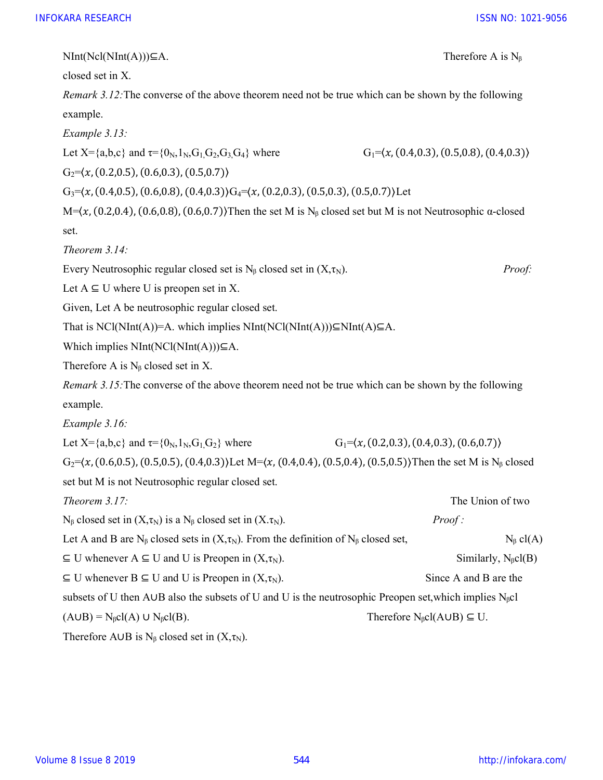NInt(Ncl(NInt(A)))⊆A. Therefore A is N<sub>6</sub>

closed set in X.

Remark 3.12: The converse of the above theorem need not be true which can be shown by the following example.

Example 3.13:

Let  $X = \{a,b,c\}$  and  $\tau = \{0_N,1_N,G_1,G_2,G_3,G_4\}$  where  $G_1 = \langle x, (0.4,0.3), (0.5,0.8), (0.4,0.3) \rangle$ 

 $G_2 = \langle x, (0.2, 0.5), (0.6, 0.3), (0.5, 0.7) \rangle$ 

 $G_3 = (x, (0.4, 0.5), (0.6, 0.8), (0.4, 0.3))G_4 = (x, (0.2, 0.3), (0.5, 0.3), (0.5, 0.7))$  Let

M= $(x, (0.2, 0.4), (0.6, 0.8), (0.6, 0.7)$ }Then the set M is N<sub>β</sub> closed set but M is not Neutrosophic α-closed set.

Theorem 3.14:

Every Neutrosophic regular closed set is  $N_\beta$  closed set in  $(X,\tau_N)$ . *Proof:* 

Let  $A \subseteq U$  where U is preopen set in X.

Given, Let A be neutrosophic regular closed set.

That is NCl(NInt(A))=A. which implies NInt(NCl(NInt(A))) $\subseteq$ NInt(A) $\subseteq$ A.

Which implies  $NInt(NCl(NInt(A)))\subseteq A$ .

Therefore A is  $N_\beta$  closed set in X.

Remark 3.15: The converse of the above theorem need not be true which can be shown by the following example.

Example 3.16:

Let  $X = \{a,b,c\}$  and  $\tau = \{0_N,1_N,G_1,G_2\}$  where  $G_1 = \langle x, (0.2,0.3), (0.4,0.3), (0.6,0.7) \rangle$ 

 $G_2 = (x, (0.6, 0.5), (0.5, 0.5), (0.4, 0.3))$  Let M= $(x, (0.4, 0.4), (0.5, 0.4), (0.5, 0.5))$  Then the set M is N<sub> $\beta$ </sub> closed set but M is not Neutrosophic regular closed set.

| Theorem $3.17$ :                                                                                                | The Union of two                                |  |
|-----------------------------------------------------------------------------------------------------------------|-------------------------------------------------|--|
| $N_{\beta}$ closed set in $(X,\tau_N)$ is a $N_{\beta}$ closed set in $(X,\tau_N)$ .                            | Proof:                                          |  |
| Let A and B are N <sub>B</sub> closed sets in $(X,\tau_N)$ . From the definition of N <sub>B</sub> closed set,  | $N_{\beta}$ cl(A)                               |  |
| $\subseteq$ U whenever A $\subseteq$ U and U is Preopen in $(X,\tau_N)$ .                                       | Similarly, $N_{\beta}cl(B)$                     |  |
| $\subseteq$ U whenever B $\subseteq$ U and U is Preopen in $(X,\tau_N)$ .                                       | Since A and B are the                           |  |
| subsets of U then AUB also the subsets of U and U is the neutrosophic Preopen set, which implies $N_{\beta}$ cl |                                                 |  |
| $(A \cup B) = N_{\beta}cl(A) \cup N_{\beta}cl(B).$                                                              | Therefore $N_{\beta}cl(A \cup B) \subseteq U$ . |  |
| Therefore AUB is $N_{\beta}$ closed set in $(X, \tau_N)$ .                                                      |                                                 |  |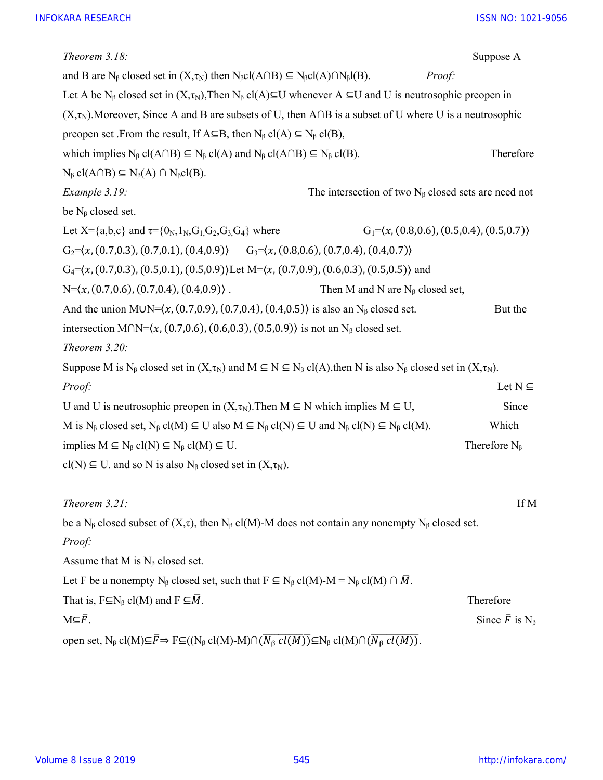| Theorem $3.18$ :                                                                                                                                                                                                    |                                                              | Suppose A                                          |
|---------------------------------------------------------------------------------------------------------------------------------------------------------------------------------------------------------------------|--------------------------------------------------------------|----------------------------------------------------|
| and B are N <sub>β</sub> closed set in $(X, \tau_N)$ then N <sub>β</sub> cl(A∩B) $\subseteq$ N <sub>β</sub> cl(A)∩N <sub>β</sub> l(B).                                                                              | Proof:                                                       |                                                    |
| Let A be N <sub>β</sub> closed set in $(X,\tau_N)$ , Then N <sub>β</sub> cl(A)⊆U whenever A ⊆U and U is neutrosophic preopen in                                                                                     |                                                              |                                                    |
| $(X,\tau_N)$ . Moreover, Since A and B are subsets of U, then A $\cap$ B is a subset of U where U is a neutrosophic                                                                                                 |                                                              |                                                    |
| preopen set .From the result, If $A \subseteq B$ , then $N_\beta$ cl(A) $\subseteq N_\beta$ cl(B),                                                                                                                  |                                                              |                                                    |
| which implies $N_{\beta}$ cl(A $\cap$ B) $\subseteq$ $N_{\beta}$ cl(A) and $N_{\beta}$ cl(A $\cap$ B) $\subseteq$ $N_{\beta}$ cl(B).                                                                                |                                                              | Therefore                                          |
| $N_{\beta}$ cl(A $\cap$ B) $\subseteq N_{\beta}(A) \cap N_{\beta}$ cl(B).                                                                                                                                           |                                                              |                                                    |
| Example 3.19:                                                                                                                                                                                                       | The intersection of two $N_{\beta}$ closed sets are need not |                                                    |
| be $N_\beta$ closed set.                                                                                                                                                                                            |                                                              |                                                    |
| Let X={a,b,c} and $\tau$ ={0 <sub>N</sub> , 1 <sub>N</sub> , G <sub>1</sub> , G <sub>2</sub> , G <sub>3</sub> , G <sub>4</sub> } where                                                                              | $G_1 = (x, (0.8, 0.6), (0.5, 0.4), (0.5, 0.7))$              |                                                    |
| $G_2 = (x, (0.7, 0.3), (0.7, 0.1), (0.4, 0.9))$ $G_3 = (x, (0.8, 0.6), (0.7, 0.4), (0.4, 0.7))$                                                                                                                     |                                                              |                                                    |
| $G_4 = (x, (0.7, 0.3), (0.5, 0.1), (0.5, 0.9))$ Let M= $(x, (0.7, 0.9), (0.6, 0.3), (0.5, 0.5))$ and                                                                                                                |                                                              |                                                    |
| $N=\langle x, (0.7,0.6), (0.7,0.4), (0.4,0.9) \rangle$ .                                                                                                                                                            | Then M and N are $N_\beta$ closed set,                       |                                                    |
| And the union MUN= $(x, (0.7, 0.9), (0.7, 0.4), (0.4, 0.5))$ is also an N <sub>B</sub> closed set.                                                                                                                  |                                                              | But the                                            |
| intersection M $\bigcap N = (x, (0.7, 0.6), (0.6, 0.3), (0.5, 0.9))$ is not an N <sub>B</sub> closed set.                                                                                                           |                                                              |                                                    |
| Theorem $3.20$ :                                                                                                                                                                                                    |                                                              |                                                    |
| Suppose M is N <sub>β</sub> closed set in $(X,\tau_N)$ and $M \subseteq N \subseteq N_\beta$ cl(A), then N is also N <sub>β</sub> closed set in $(X,\tau_N)$ .                                                      |                                                              |                                                    |
| Proof:                                                                                                                                                                                                              |                                                              | Let $N \subseteq$                                  |
| U and U is neutrosophic preopen in $(X,\tau_N)$ . Then $M \subseteq N$ which implies $M \subseteq U$ ,                                                                                                              |                                                              | Since                                              |
| M is $N_{\beta}$ closed set, $N_{\beta}$ cl(M) $\subseteq$ U also M $\subseteq$ $N_{\beta}$ cl(N) $\subseteq$ U and $N_{\beta}$ cl(N) $\subseteq$ $N_{\beta}$ cl(M).                                                |                                                              | Which                                              |
| implies $M \subseteq N_{\beta}$ cl(N) $\subseteq N_{\beta}$ cl(M) $\subseteq U$ .                                                                                                                                   |                                                              | Therefore $N_{\beta}$                              |
| $cl(N) \subseteq U$ . and so N is also N <sub>β</sub> closed set in $(X, \tau_N)$ .                                                                                                                                 |                                                              |                                                    |
| Theorem $3.21$ :                                                                                                                                                                                                    |                                                              | If M                                               |
| be a N <sub>β</sub> closed subset of $(X,\tau)$ , then N <sub>β</sub> cl(M)-M does not contain any nonempty N <sub>β</sub> closed set.                                                                              |                                                              |                                                    |
| Proof:                                                                                                                                                                                                              |                                                              |                                                    |
| Assume that M is $N_\beta$ closed set.                                                                                                                                                                              |                                                              |                                                    |
| Let F be a nonempty N <sub>β</sub> closed set, such that $F \subseteq N_\beta$ cl(M)-M = N <sub>β</sub> cl(M) $\cap \overline{M}$ .                                                                                 |                                                              |                                                    |
| That is, $F \subseteq N_\beta$ cl(M) and $F \subseteq \overline{M}$ .                                                                                                                                               |                                                              | Therefore                                          |
| $M \subseteq \overline{F}$ .                                                                                                                                                                                        |                                                              | Since $\bar{F}$ is N <sub><math>\beta</math></sub> |
| open set, $N_{\beta}$ cl(M) $\subseteq \overline{F} \Rightarrow F \subseteq ((N_{\beta}$ cl(M)-M) $\cap (\overline{N_{\beta} \text{cl}(M)}) \subseteq N_{\beta}$ cl(M) $\cap (\overline{N_{\beta} \text{cl}(M)})$ . |                                                              |                                                    |